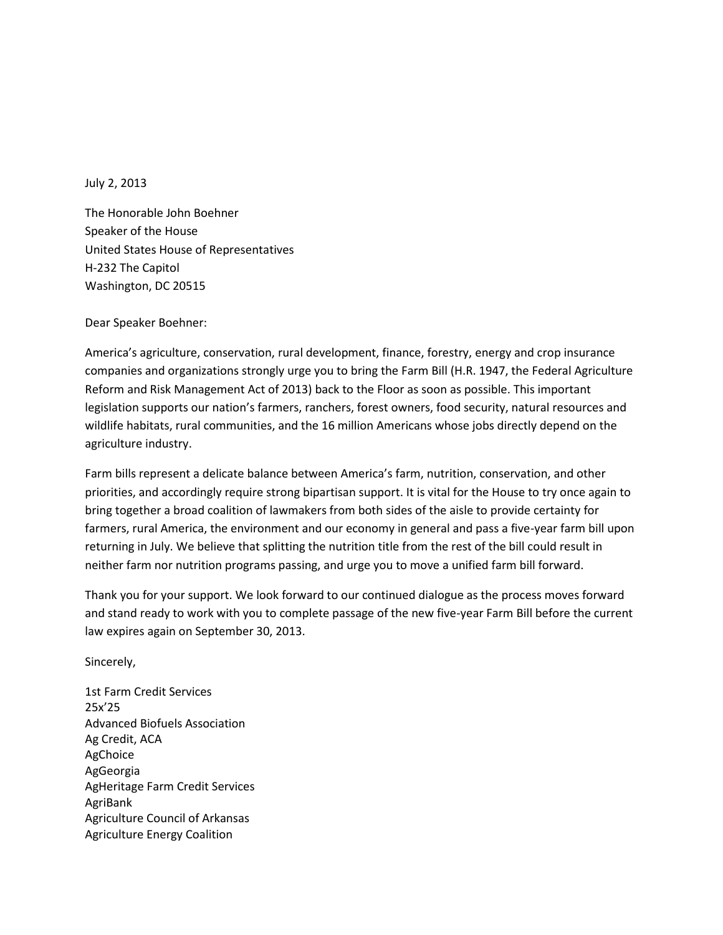July 2, 2013

The Honorable John Boehner Speaker of the House United States House of Representatives H-232 The Capitol Washington, DC 20515

Dear Speaker Boehner:

America's agriculture, conservation, rural development, finance, forestry, energy and crop insurance companies and organizations strongly urge you to bring the Farm Bill (H.R. 1947, the Federal Agriculture Reform and Risk Management Act of 2013) back to the Floor as soon as possible. This important legislation supports our nation's farmers, ranchers, forest owners, food security, natural resources and wildlife habitats, rural communities, and the 16 million Americans whose jobs directly depend on the agriculture industry.

Farm bills represent a delicate balance between America's farm, nutrition, conservation, and other priorities, and accordingly require strong bipartisan support. It is vital for the House to try once again to bring together a broad coalition of lawmakers from both sides of the aisle to provide certainty for farmers, rural America, the environment and our economy in general and pass a five-year farm bill upon returning in July. We believe that splitting the nutrition title from the rest of the bill could result in neither farm nor nutrition programs passing, and urge you to move a unified farm bill forward.

Thank you for your support. We look forward to our continued dialogue as the process moves forward and stand ready to work with you to complete passage of the new five-year Farm Bill before the current law expires again on September 30, 2013.

Sincerely,

1st Farm Credit Services 25x'25 Advanced Biofuels Association Ag Credit, ACA AgChoice AgGeorgia AgHeritage Farm Credit Services AgriBank Agriculture Council of Arkansas Agriculture Energy Coalition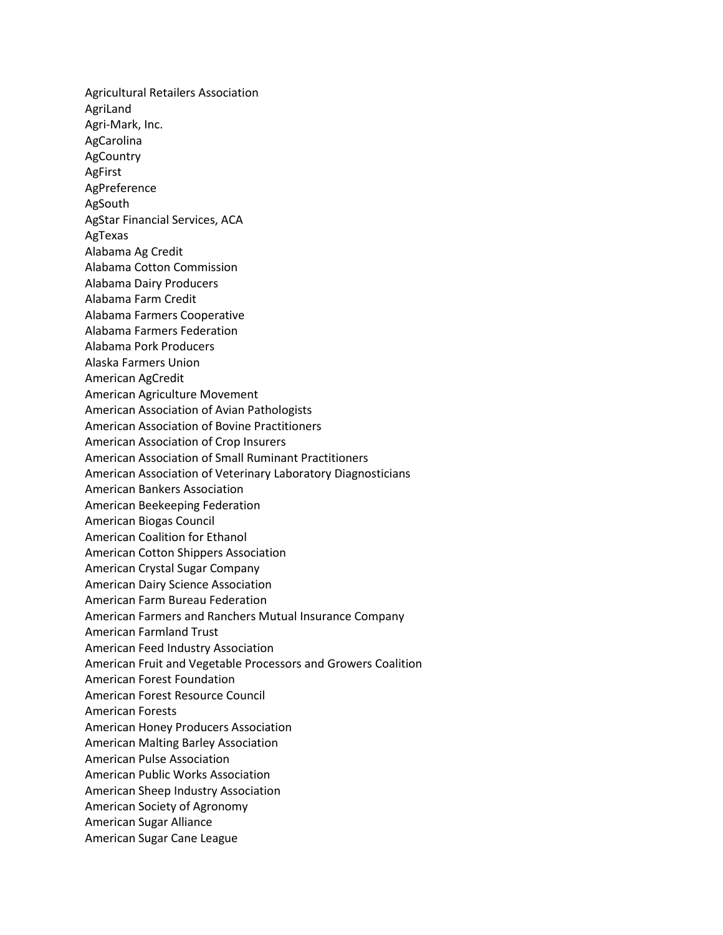Agricultural Retailers Association AgriLand Agri-Mark, Inc. AgCarolina AgCountry AgFirst AgPreference AgSouth AgStar Financial Services, ACA AgTexas Alabama Ag Credit Alabama Cotton Commission Alabama Dairy Producers Alabama Farm Credit Alabama Farmers Cooperative Alabama Farmers Federation Alabama Pork Producers Alaska Farmers Union American AgCredit American Agriculture Movement American Association of Avian Pathologists American Association of Bovine Practitioners American Association of Crop Insurers American Association of Small Ruminant Practitioners American Association of Veterinary Laboratory Diagnosticians American Bankers Association American Beekeeping Federation American Biogas Council American Coalition for Ethanol American Cotton Shippers Association American Crystal Sugar Company American Dairy Science Association American Farm Bureau Federation American Farmers and Ranchers Mutual Insurance Company American Farmland Trust American Feed Industry Association American Fruit and Vegetable Processors and Growers Coalition American Forest Foundation American Forest Resource Council American Forests American Honey Producers Association American Malting Barley Association American Pulse Association American Public Works Association American Sheep Industry Association American Society of Agronomy American Sugar Alliance American Sugar Cane League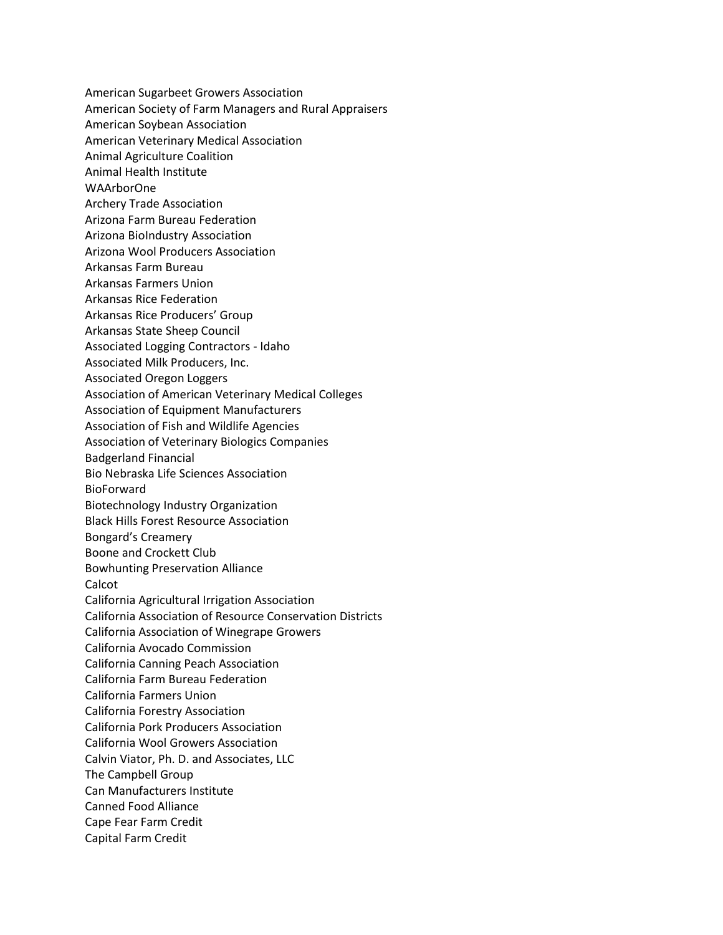American Sugarbeet Growers Association American Society of Farm Managers and Rural Appraisers American Soybean Association American Veterinary Medical Association Animal Agriculture Coalition Animal Health Institute WAArborOne Archery Trade Association Arizona Farm Bureau Federation Arizona BioIndustry Association Arizona Wool Producers Association Arkansas Farm Bureau Arkansas Farmers Union Arkansas Rice Federation Arkansas Rice Producers' Group Arkansas State Sheep Council Associated Logging Contractors - Idaho Associated Milk Producers, Inc. Associated Oregon Loggers Association of American Veterinary Medical Colleges Association of Equipment Manufacturers Association of Fish and Wildlife Agencies Association of Veterinary Biologics Companies Badgerland Financial Bio Nebraska Life Sciences Association BioForward Biotechnology Industry Organization Black Hills Forest Resource Association Bongard's Creamery Boone and Crockett Club Bowhunting Preservation Alliance Calcot California Agricultural Irrigation Association California Association of Resource Conservation Districts California Association of Winegrape Growers California Avocado Commission California Canning Peach Association California Farm Bureau Federation California Farmers Union California Forestry Association California Pork Producers Association California Wool Growers Association Calvin Viator, Ph. D. and Associates, LLC The Campbell Group Can Manufacturers Institute Canned Food Alliance Cape Fear Farm Credit Capital Farm Credit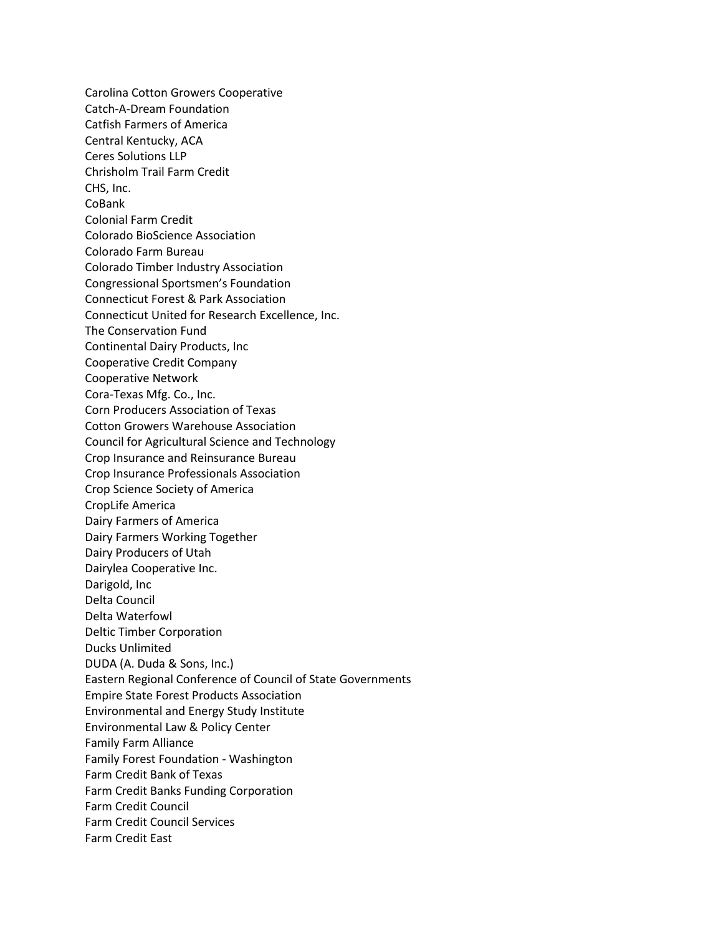Carolina Cotton Growers Cooperative Catch-A-Dream Foundation Catfish Farmers of America Central Kentucky, ACA Ceres Solutions LLP Chrisholm Trail Farm Credit CHS, Inc. CoBank Colonial Farm Credit Colorado BioScience Association Colorado Farm Bureau Colorado Timber Industry Association Congressional Sportsmen's Foundation Connecticut Forest & Park Association Connecticut United for Research Excellence, Inc. The Conservation Fund Continental Dairy Products, Inc Cooperative Credit Company Cooperative Network Cora-Texas Mfg. Co., Inc. Corn Producers Association of Texas Cotton Growers Warehouse Association Council for Agricultural Science and Technology Crop Insurance and Reinsurance Bureau Crop Insurance Professionals Association Crop Science Society of America CropLife America Dairy Farmers of America Dairy Farmers Working Together Dairy Producers of Utah Dairylea Cooperative Inc. Darigold, Inc Delta Council Delta Waterfowl Deltic Timber Corporation Ducks Unlimited DUDA (A. Duda & Sons, Inc.) Eastern Regional Conference of Council of State Governments Empire State Forest Products Association Environmental and Energy Study Institute Environmental Law & Policy Center Family Farm Alliance Family Forest Foundation - Washington Farm Credit Bank of Texas Farm Credit Banks Funding Corporation Farm Credit Council Farm Credit Council Services Farm Credit East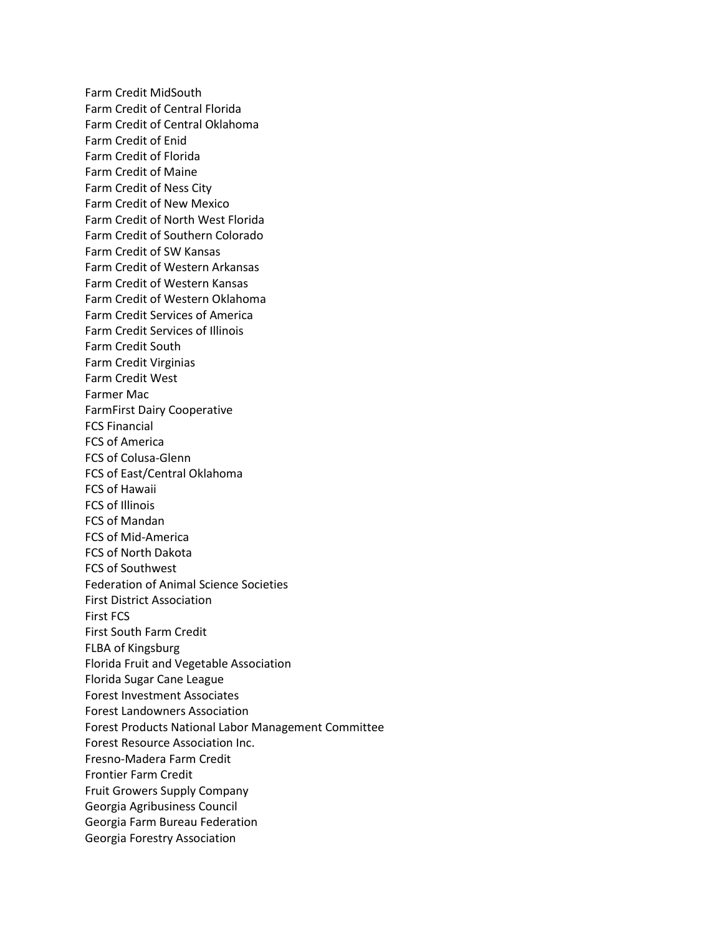Farm Credit MidSouth Farm Credit of Central Florida Farm Credit of Central Oklahoma Farm Credit of Enid Farm Credit of Florida Farm Credit of Maine Farm Credit of Ness City Farm Credit of New Mexico Farm Credit of North West Florida Farm Credit of Southern Colorado Farm Credit of SW Kansas Farm Credit of Western Arkansas Farm Credit of Western Kansas Farm Credit of Western Oklahoma Farm Credit Services of America Farm Credit Services of Illinois Farm Credit South Farm Credit Virginias Farm Credit West Farmer Mac FarmFirst Dairy Cooperative FCS Financial FCS of America FCS of Colusa-Glenn FCS of East/Central Oklahoma FCS of Hawaii FCS of Illinois FCS of Mandan FCS of Mid-America FCS of North Dakota FCS of Southwest Federation of Animal Science Societies First District Association First FCS First South Farm Credit FLBA of Kingsburg Florida Fruit and Vegetable Association Florida Sugar Cane League Forest Investment Associates Forest Landowners Association Forest Products National Labor Management Committee Forest Resource Association Inc. Fresno-Madera Farm Credit Frontier Farm Credit Fruit Growers Supply Company Georgia Agribusiness Council Georgia Farm Bureau Federation Georgia Forestry Association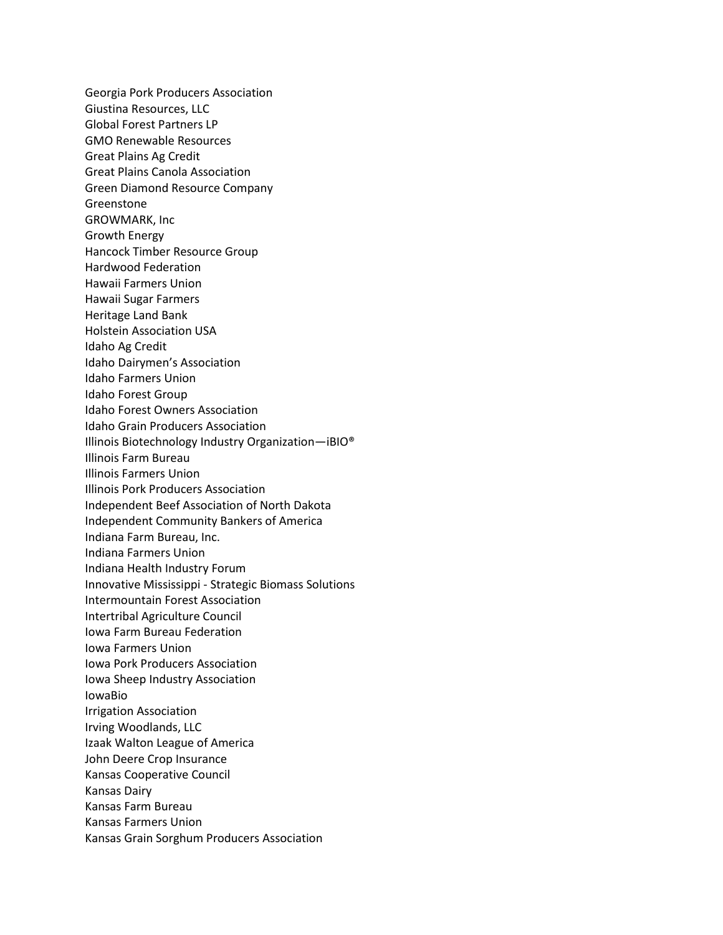Georgia Pork Producers Association Giustina Resources, LLC Global Forest Partners LP GMO Renewable Resources Great Plains Ag Credit Great Plains Canola Association Green Diamond Resource Company Greenstone GROWMARK, Inc Growth Energy Hancock Timber Resource Group Hardwood Federation Hawaii Farmers Union Hawaii Sugar Farmers Heritage Land Bank Holstein Association USA Idaho Ag Credit Idaho Dairymen's Association Idaho Farmers Union Idaho Forest Group Idaho Forest Owners Association Idaho Grain Producers Association Illinois Biotechnology Industry Organization—iBIO® Illinois Farm Bureau Illinois Farmers Union Illinois Pork Producers Association Independent Beef Association of North Dakota Independent Community Bankers of America Indiana Farm Bureau, Inc. Indiana Farmers Union Indiana Health Industry Forum Innovative Mississippi - Strategic Biomass Solutions Intermountain Forest Association Intertribal Agriculture Council Iowa Farm Bureau Federation Iowa Farmers Union Iowa Pork Producers Association Iowa Sheep Industry Association IowaBio Irrigation Association Irving Woodlands, LLC Izaak Walton League of America John Deere Crop Insurance Kansas Cooperative Council Kansas Dairy Kansas Farm Bureau Kansas Farmers Union Kansas Grain Sorghum Producers Association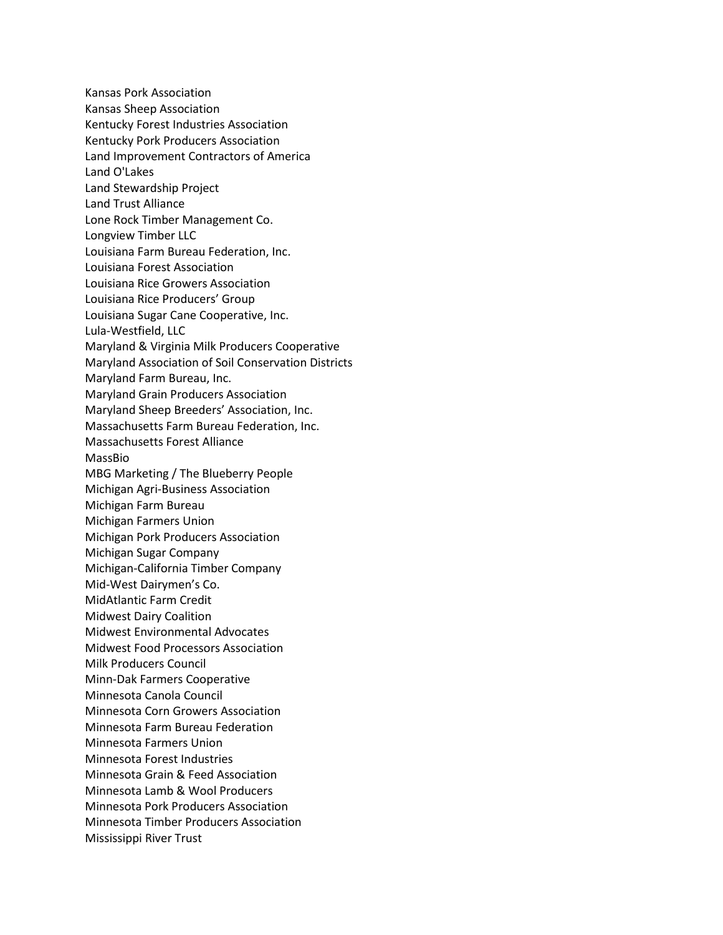Kansas Pork Association Kansas Sheep Association Kentucky Forest Industries Association Kentucky Pork Producers Association Land Improvement Contractors of America Land O'Lakes Land Stewardship Project Land Trust Alliance Lone Rock Timber Management Co. Longview Timber LLC Louisiana Farm Bureau Federation, Inc. Louisiana Forest Association Louisiana Rice Growers Association Louisiana Rice Producers' Group Louisiana Sugar Cane Cooperative, Inc. Lula-Westfield, LLC Maryland & Virginia Milk Producers Cooperative Maryland Association of Soil Conservation Districts Maryland Farm Bureau, Inc. Maryland Grain Producers Association Maryland Sheep Breeders' Association, Inc. Massachusetts Farm Bureau Federation, Inc. Massachusetts Forest Alliance MassBio MBG Marketing / The Blueberry People Michigan Agri-Business Association Michigan Farm Bureau Michigan Farmers Union Michigan Pork Producers Association Michigan Sugar Company Michigan-California Timber Company Mid-West Dairymen's Co. MidAtlantic Farm Credit Midwest Dairy Coalition Midwest Environmental Advocates Midwest Food Processors Association Milk Producers Council Minn-Dak Farmers Cooperative Minnesota Canola Council Minnesota Corn Growers Association Minnesota Farm Bureau Federation Minnesota Farmers Union Minnesota Forest Industries Minnesota Grain & Feed Association Minnesota Lamb & Wool Producers Minnesota Pork Producers Association Minnesota Timber Producers Association Mississippi River Trust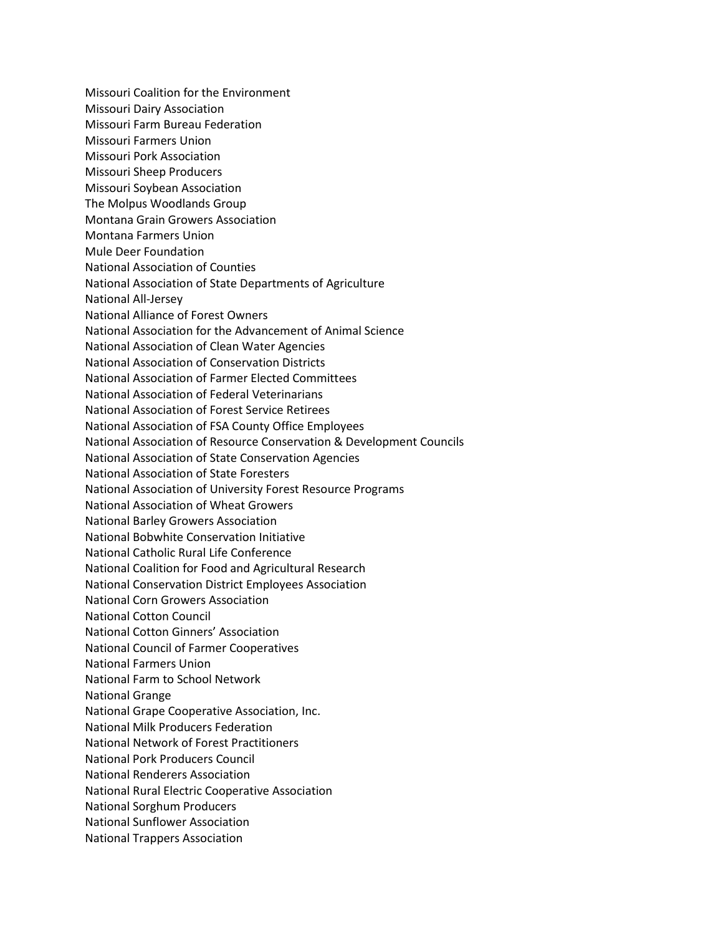Missouri Coalition for the Environment Missouri Dairy Association Missouri Farm Bureau Federation Missouri Farmers Union Missouri Pork Association Missouri Sheep Producers Missouri Soybean Association The Molpus Woodlands Group Montana Grain Growers Association Montana Farmers Union Mule Deer Foundation National Association of Counties National Association of State Departments of Agriculture National All-Jersey National Alliance of Forest Owners National Association for the Advancement of Animal Science National Association of Clean Water Agencies National Association of Conservation Districts National Association of Farmer Elected Committees National Association of Federal Veterinarians National Association of Forest Service Retirees National Association of FSA County Office Employees National Association of Resource Conservation & Development Councils National Association of State Conservation Agencies National Association of State Foresters National Association of University Forest Resource Programs National Association of Wheat Growers National Barley Growers Association National Bobwhite Conservation Initiative National Catholic Rural Life Conference National Coalition for Food and Agricultural Research National Conservation District Employees Association National Corn Growers Association National Cotton Council National Cotton Ginners' Association National Council of Farmer Cooperatives National Farmers Union National Farm to School Network National Grange National Grape Cooperative Association, Inc. National Milk Producers Federation National Network of Forest Practitioners National Pork Producers Council National Renderers Association National Rural Electric Cooperative Association National Sorghum Producers National Sunflower Association National Trappers Association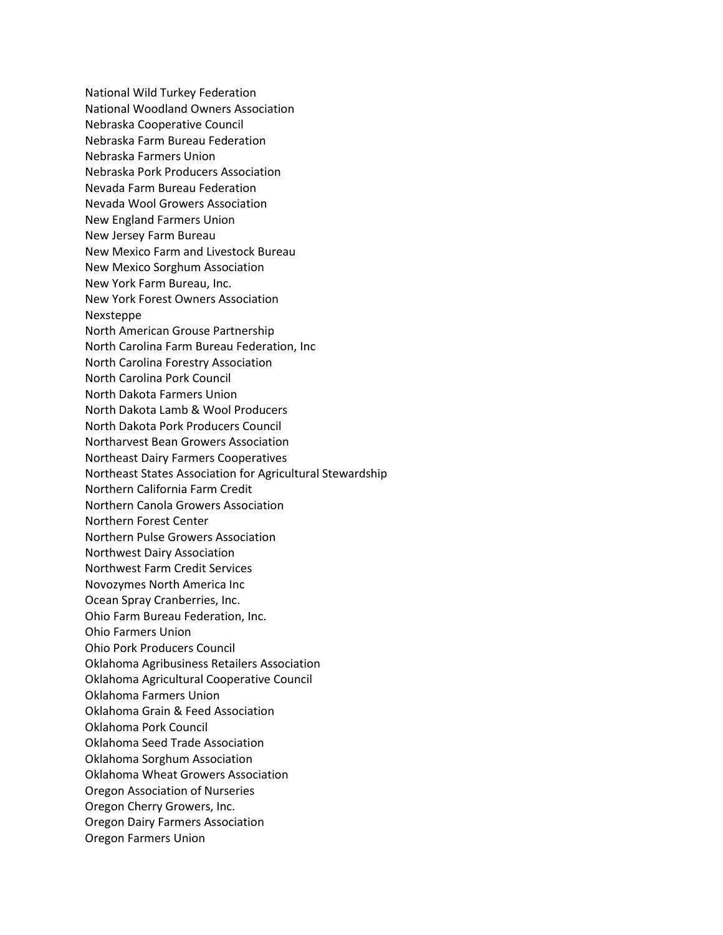National Wild Turkey Federation National Woodland Owners Association Nebraska Cooperative Council Nebraska Farm Bureau Federation Nebraska Farmers Union Nebraska Pork Producers Association Nevada Farm Bureau Federation Nevada Wool Growers Association New England Farmers Union New Jersey Farm Bureau New Mexico Farm and Livestock Bureau New Mexico Sorghum Association New York Farm Bureau, Inc. New York Forest Owners Association Nexsteppe North American Grouse Partnership North Carolina Farm Bureau Federation, Inc North Carolina Forestry Association North Carolina Pork Council North Dakota Farmers Union North Dakota Lamb & Wool Producers North Dakota Pork Producers Council Northarvest Bean Growers Association Northeast Dairy Farmers Cooperatives Northeast States Association for Agricultural Stewardship Northern California Farm Credit Northern Canola Growers Association Northern Forest Center Northern Pulse Growers Association Northwest Dairy Association Northwest Farm Credit Services Novozymes North America Inc Ocean Spray Cranberries, Inc. Ohio Farm Bureau Federation, Inc. Ohio Farmers Union Ohio Pork Producers Council Oklahoma Agribusiness Retailers Association Oklahoma Agricultural Cooperative Council Oklahoma Farmers Union Oklahoma Grain & Feed Association Oklahoma Pork Council Oklahoma Seed Trade Association Oklahoma Sorghum Association Oklahoma Wheat Growers Association Oregon Association of Nurseries Oregon Cherry Growers, Inc. Oregon Dairy Farmers Association Oregon Farmers Union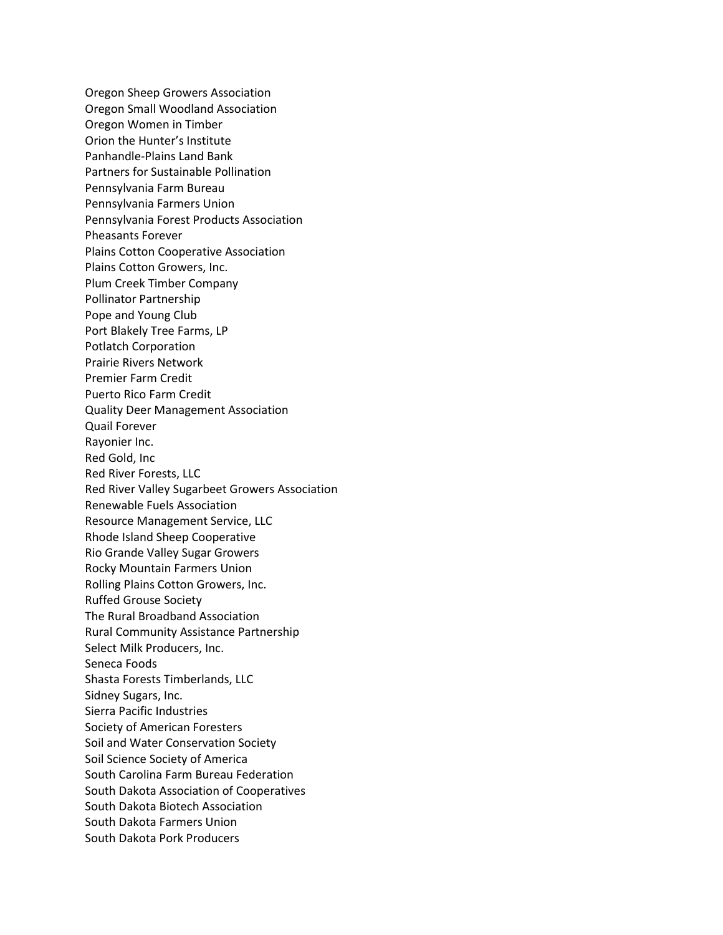Oregon Sheep Growers Association Oregon Small Woodland Association Oregon Women in Timber Orion the Hunter's Institute Panhandle-Plains Land Bank Partners for Sustainable Pollination Pennsylvania Farm Bureau Pennsylvania Farmers Union Pennsylvania Forest Products Association Pheasants Forever Plains Cotton Cooperative Association Plains Cotton Growers, Inc. Plum Creek Timber Company Pollinator Partnership Pope and Young Club Port Blakely Tree Farms, LP Potlatch Corporation Prairie Rivers Network Premier Farm Credit Puerto Rico Farm Credit Quality Deer Management Association Quail Forever Rayonier Inc. Red Gold, Inc Red River Forests, LLC Red River Valley Sugarbeet Growers Association Renewable Fuels Association Resource Management Service, LLC Rhode Island Sheep Cooperative Rio Grande Valley Sugar Growers Rocky Mountain Farmers Union Rolling Plains Cotton Growers, Inc. Ruffed Grouse Society The Rural Broadband Association Rural Community Assistance Partnership Select Milk Producers, Inc. Seneca Foods Shasta Forests Timberlands, LLC Sidney Sugars, Inc. Sierra Pacific Industries Society of American Foresters Soil and Water Conservation Society Soil Science Society of America South Carolina Farm Bureau Federation South Dakota Association of Cooperatives South Dakota Biotech Association South Dakota Farmers Union South Dakota Pork Producers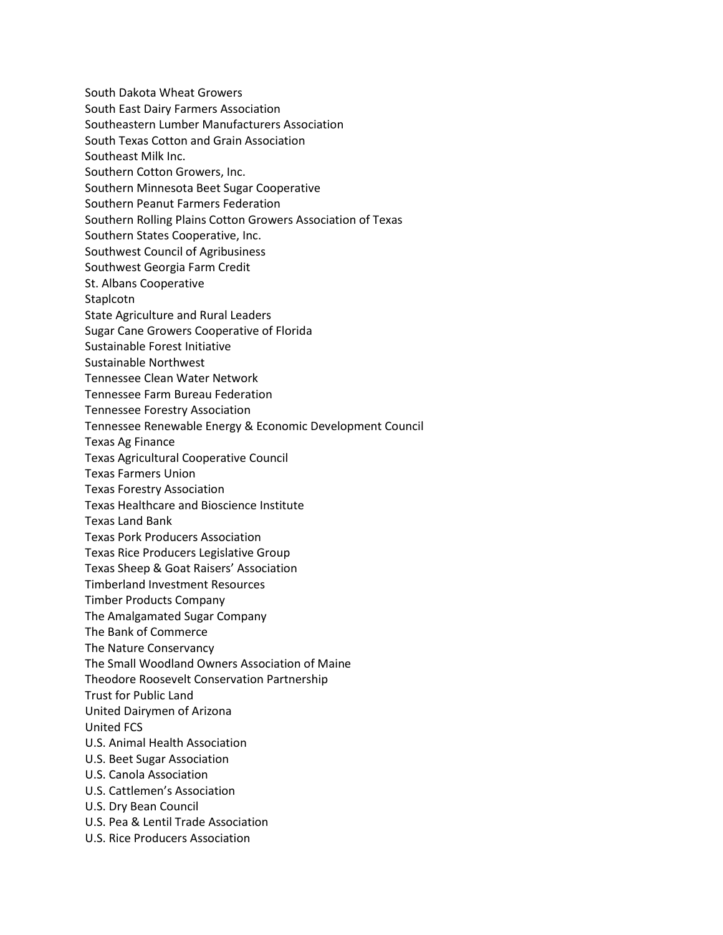South Dakota Wheat Growers South East Dairy Farmers Association Southeastern Lumber Manufacturers Association South Texas Cotton and Grain Association Southeast Milk Inc. Southern Cotton Growers, Inc. Southern Minnesota Beet Sugar Cooperative Southern Peanut Farmers Federation Southern Rolling Plains Cotton Growers Association of Texas Southern States Cooperative, Inc. Southwest Council of Agribusiness Southwest Georgia Farm Credit St. Albans Cooperative Staplcotn State Agriculture and Rural Leaders Sugar Cane Growers Cooperative of Florida Sustainable Forest Initiative Sustainable Northwest Tennessee Clean Water Network Tennessee Farm Bureau Federation Tennessee Forestry Association Tennessee Renewable Energy & Economic Development Council Texas Ag Finance Texas Agricultural Cooperative Council Texas Farmers Union Texas Forestry Association Texas Healthcare and Bioscience Institute Texas Land Bank Texas Pork Producers Association Texas Rice Producers Legislative Group Texas Sheep & Goat Raisers' Association Timberland Investment Resources Timber Products Company The Amalgamated Sugar Company The Bank of Commerce The Nature Conservancy The Small Woodland Owners Association of Maine Theodore Roosevelt Conservation Partnership Trust for Public Land United Dairymen of Arizona United FCS U.S. Animal Health Association U.S. Beet Sugar Association U.S. Canola Association U.S. Cattlemen's Association U.S. Dry Bean Council U.S. Pea & Lentil Trade Association U.S. Rice Producers Association